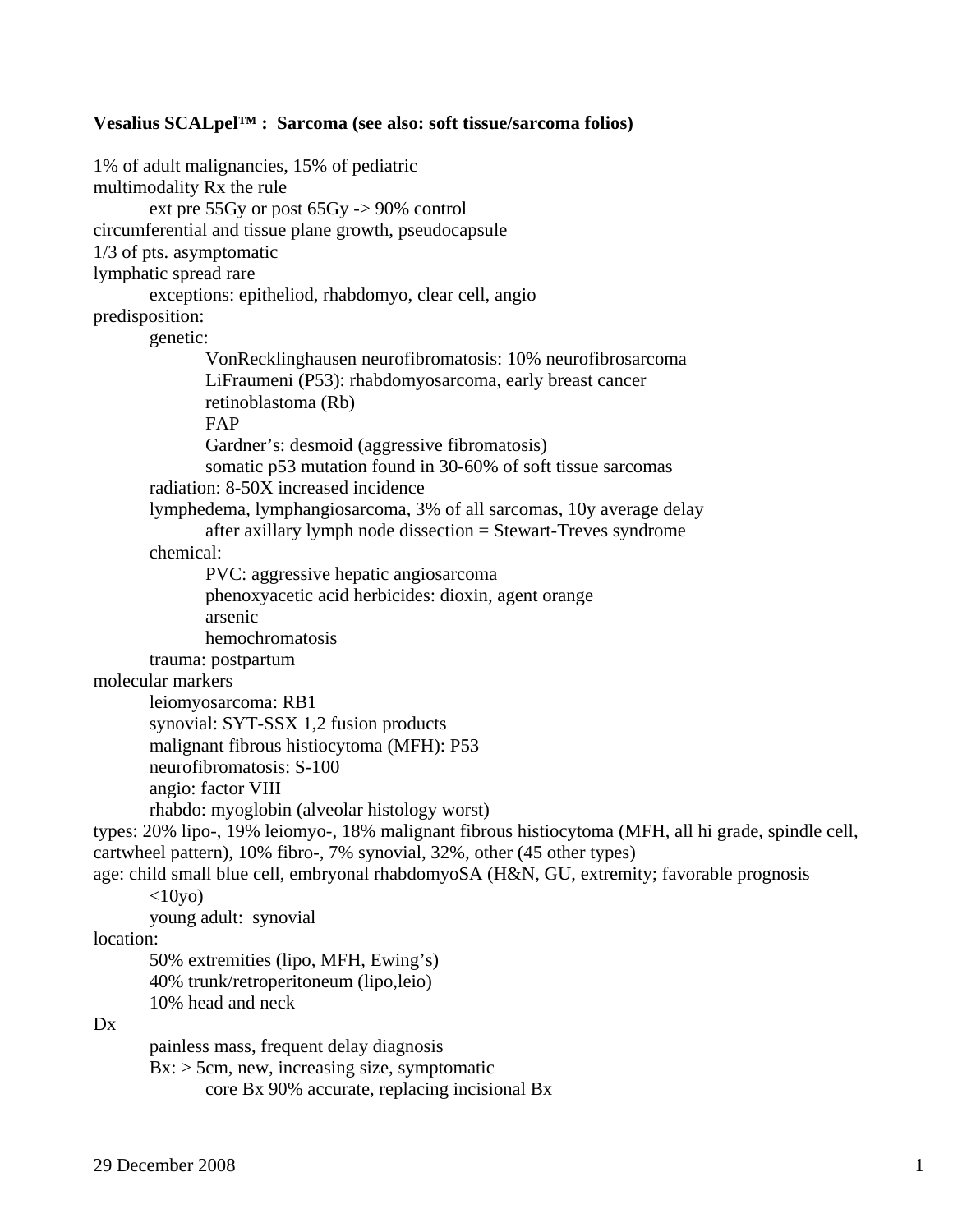## **Vesalius SCALpel™ : Sarcoma (see also: soft tissue/sarcoma folios)**

1% of adult malignancies, 15% of pediatric multimodality Rx the rule ext pre 55Gy or post 65Gy -> 90% control circumferential and tissue plane growth, pseudocapsule 1/3 of pts. asymptomatic lymphatic spread rare exceptions: epitheliod, rhabdomyo, clear cell, angio predisposition: genetic: VonRecklinghausen neurofibromatosis: 10% neurofibrosarcoma LiFraumeni (P53): rhabdomyosarcoma, early breast cancer retinoblastoma (Rb) FAP Gardner's: desmoid (aggressive fibromatosis) somatic p53 mutation found in 30-60% of soft tissue sarcomas radiation: 8-50X increased incidence lymphedema, lymphangiosarcoma, 3% of all sarcomas, 10y average delay after axillary lymph node dissection = Stewart-Treves syndrome chemical: PVC: aggressive hepatic angiosarcoma phenoxyacetic acid herbicides: dioxin, agent orange arsenic hemochromatosis trauma: postpartum molecular markers leiomyosarcoma: RB1 synovial: SYT-SSX 1,2 fusion products malignant fibrous histiocytoma (MFH): P53 neurofibromatosis: S-100 angio: factor VIII rhabdo: myoglobin (alveolar histology worst) types: 20% lipo-, 19% leiomyo-, 18% malignant fibrous histiocytoma (MFH, all hi grade, spindle cell, cartwheel pattern), 10% fibro-, 7% synovial, 32%, other (45 other types) age: child small blue cell, embryonal rhabdomyoSA (H&N, GU, extremity; favorable prognosis  $<10$ yo) young adult: synovial location: 50% extremities (lipo, MFH, Ewing's) 40% trunk/retroperitoneum (lipo,leio) 10% head and neck  $Dx$  painless mass, frequent delay diagnosis  $Bx:$  > 5cm, new, increasing size, symptomatic core Bx 90% accurate, replacing incisional Bx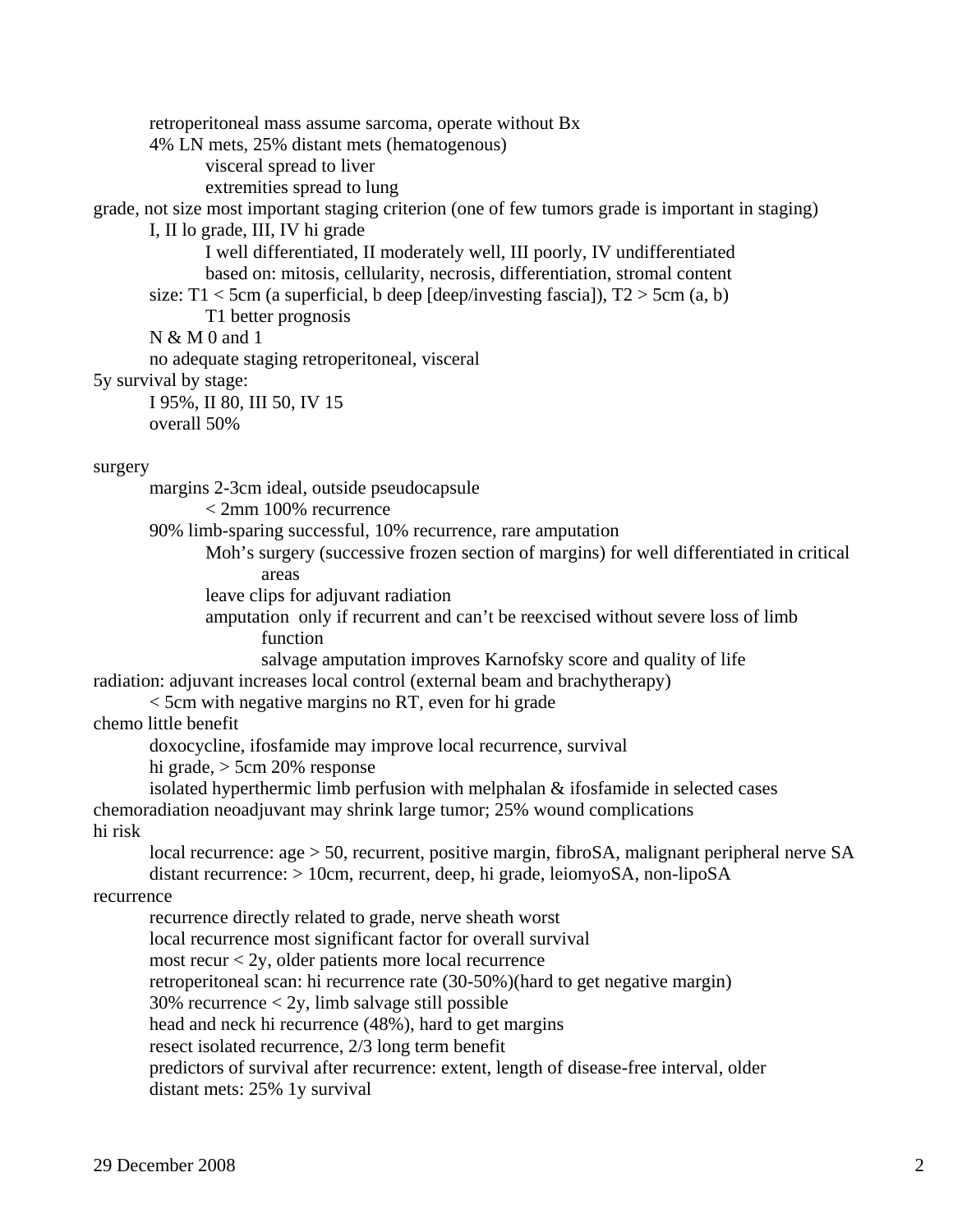retroperitoneal mass assume sarcoma, operate without Bx 4% LN mets, 25% distant mets (hematogenous) visceral spread to liver extremities spread to lung grade, not size most important staging criterion (one of few tumors grade is important in staging) I, II lo grade, III, IV hi grade I well differentiated, II moderately well, III poorly, IV undifferentiated based on: mitosis, cellularity, necrosis, differentiation, stromal content size: T1 < 5cm (a superficial, b deep [deep/investing fascial],  $T2 > 5$ cm (a, b) T1 better prognosis N & M 0 and 1 no adequate staging retroperitoneal, visceral 5y survival by stage: I 95%, II 80, III 50, IV 15 overall 50% surgery margins 2-3cm ideal, outside pseudocapsule < 2mm 100% recurrence 90% limb-sparing successful, 10% recurrence, rare amputation Moh's surgery (successive frozen section of margins) for well differentiated in critical areas leave clips for adjuvant radiation amputation only if recurrent and can't be reexcised without severe loss of limb function salvage amputation improves Karnofsky score and quality of life radiation: adjuvant increases local control (external beam and brachytherapy) < 5cm with negative margins no RT, even for hi grade chemo little benefit doxocycline, ifosfamide may improve local recurrence, survival hi grade, > 5cm 20% response isolated hyperthermic limb perfusion with melphalan & ifosfamide in selected cases chemoradiation neoadjuvant may shrink large tumor; 25% wound complications hi risk local recurrence: age > 50, recurrent, positive margin, fibroSA, malignant peripheral nerve SA distant recurrence: > 10cm, recurrent, deep, hi grade, leiomyoSA, non-lipoSA recurrence recurrence directly related to grade, nerve sheath worst local recurrence most significant factor for overall survival most recur  $<$  2y, older patients more local recurrence retroperitoneal scan: hi recurrence rate (30-50%)(hard to get negative margin) 30% recurrence  $\langle 2y$ , limb salvage still possible head and neck hi recurrence (48%), hard to get margins resect isolated recurrence, 2/3 long term benefit predictors of survival after recurrence: extent, length of disease-free interval, older distant mets: 25% 1y survival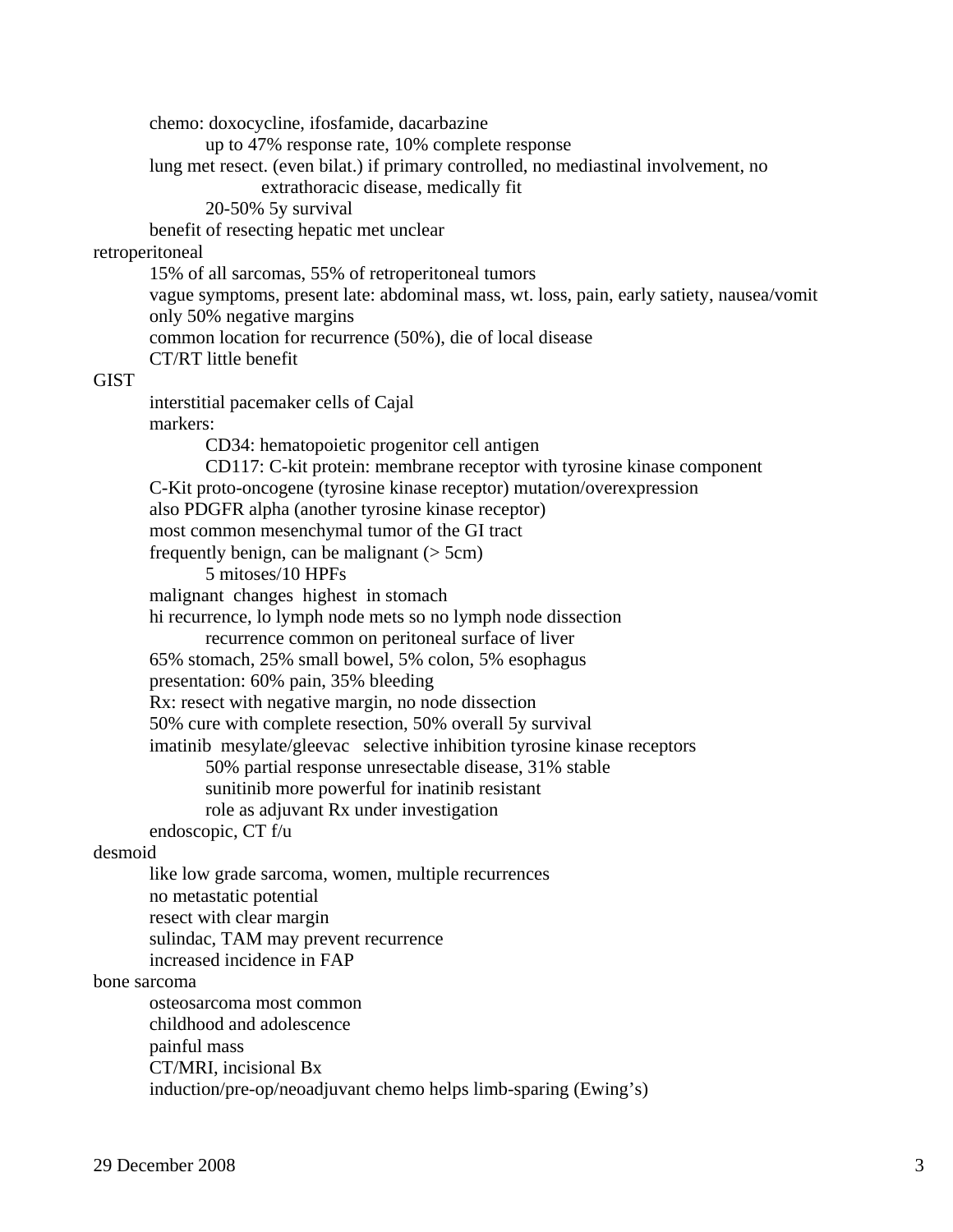chemo: doxocycline, ifosfamide, dacarbazine up to 47% response rate, 10% complete response lung met resect. (even bilat.) if primary controlled, no mediastinal involvement, no extrathoracic disease, medically fit 20-50% 5y survival benefit of resecting hepatic met unclear retroperitoneal 15% of all sarcomas, 55% of retroperitoneal tumors vague symptoms, present late: abdominal mass, wt. loss, pain, early satiety, nausea/vomit only 50% negative margins common location for recurrence (50%), die of local disease CT/RT little benefit **GIST**  interstitial pacemaker cells of Cajal markers: CD34: hematopoietic progenitor cell antigen CD117: C-kit protein: membrane receptor with tyrosine kinase component C-Kit proto-oncogene (tyrosine kinase receptor) mutation/overexpression also PDGFR alpha (another tyrosine kinase receptor) most common mesenchymal tumor of the GI tract frequently benign, can be malignant  $($  > 5cm) 5 mitoses/10 HPFs malignant changes highest in stomach hi recurrence, lo lymph node mets so no lymph node dissection recurrence common on peritoneal surface of liver 65% stomach, 25% small bowel, 5% colon, 5% esophagus presentation: 60% pain, 35% bleeding Rx: resect with negative margin, no node dissection 50% cure with complete resection, 50% overall 5y survival imatinib mesylate/gleevac selective inhibition tyrosine kinase receptors 50% partial response unresectable disease, 31% stable sunitinib more powerful for inatinib resistant role as adjuvant Rx under investigation endoscopic, CT f/u desmoid like low grade sarcoma, women, multiple recurrences no metastatic potential resect with clear margin sulindac, TAM may prevent recurrence increased incidence in FAP bone sarcoma osteosarcoma most common childhood and adolescence painful mass CT/MRI, incisional Bx induction/pre-op/neoadjuvant chemo helps limb-sparing (Ewing's)